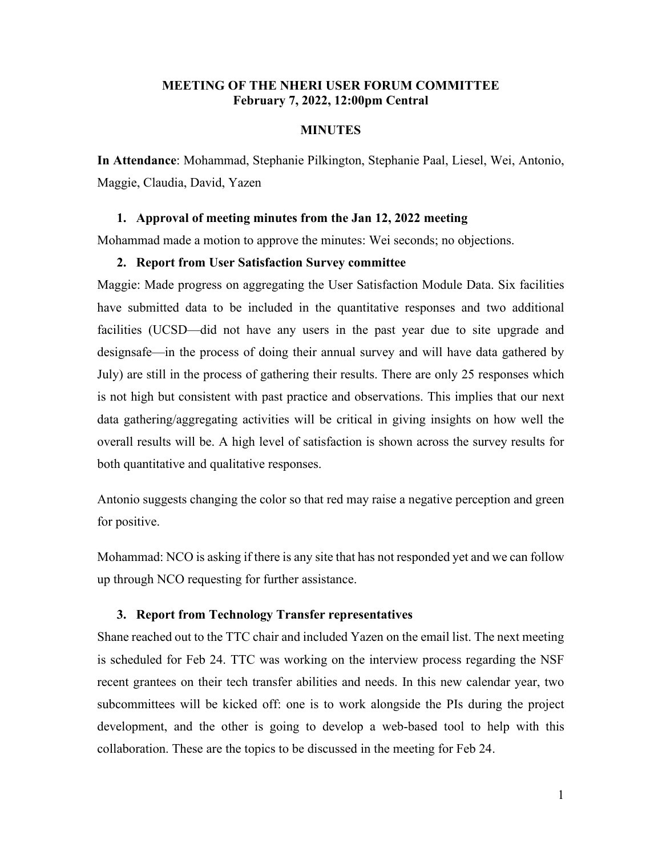# **MEETING OF THE NHERI USER FORUM COMMITTEE February 7, 2022, 12:00pm Central**

### **MINUTES**

**In Attendance**: Mohammad, Stephanie Pilkington, Stephanie Paal, Liesel, Wei, Antonio, Maggie, Claudia, David, Yazen

#### **1. Approval of meeting minutes from the Jan 12, 2022 meeting**

Mohammad made a motion to approve the minutes: Wei seconds; no objections.

### **2. Report from User Satisfaction Survey committee**

Maggie: Made progress on aggregating the User Satisfaction Module Data. Six facilities have submitted data to be included in the quantitative responses and two additional facilities (UCSD—did not have any users in the past year due to site upgrade and designsafe—in the process of doing their annual survey and will have data gathered by July) are still in the process of gathering their results. There are only 25 responses which is not high but consistent with past practice and observations. This implies that our next data gathering/aggregating activities will be critical in giving insights on how well the overall results will be. A high level of satisfaction is shown across the survey results for both quantitative and qualitative responses.

Antonio suggests changing the color so that red may raise a negative perception and green for positive.

Mohammad: NCO is asking if there is any site that has not responded yet and we can follow up through NCO requesting for further assistance.

### **3. Report from Technology Transfer representatives**

Shane reached out to the TTC chair and included Yazen on the email list. The next meeting is scheduled for Feb 24. TTC was working on the interview process regarding the NSF recent grantees on their tech transfer abilities and needs. In this new calendar year, two subcommittees will be kicked off: one is to work alongside the PIs during the project development, and the other is going to develop a web-based tool to help with this collaboration. These are the topics to be discussed in the meeting for Feb 24.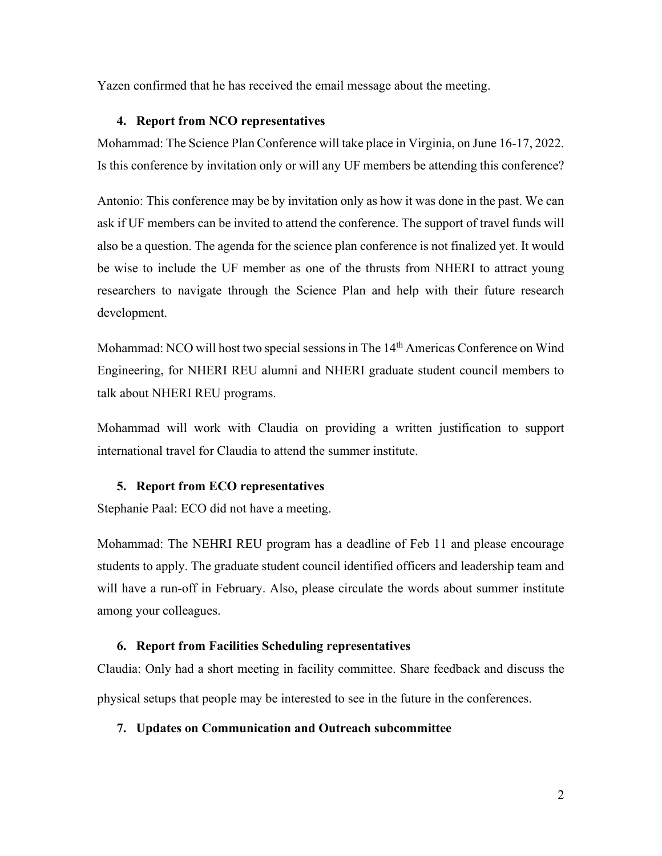Yazen confirmed that he has received the email message about the meeting.

## **4. Report from NCO representatives**

Mohammad: The Science Plan Conference will take place in Virginia, on June 16-17, 2022. Is this conference by invitation only or will any UF members be attending this conference?

Antonio: This conference may be by invitation only as how it was done in the past. We can ask if UF members can be invited to attend the conference. The support of travel funds will also be a question. The agenda for the science plan conference is not finalized yet. It would be wise to include the UF member as one of the thrusts from NHERI to attract young researchers to navigate through the Science Plan and help with their future research development.

Mohammad: NCO will host two special sessions in The 14<sup>th</sup> Americas Conference on Wind Engineering, for NHERI REU alumni and NHERI graduate student council members to talk about NHERI REU programs.

Mohammad will work with Claudia on providing a written justification to support international travel for Claudia to attend the summer institute.

# **5. Report from ECO representatives**

Stephanie Paal: ECO did not have a meeting.

Mohammad: The NEHRI REU program has a deadline of Feb 11 and please encourage students to apply. The graduate student council identified officers and leadership team and will have a run-off in February. Also, please circulate the words about summer institute among your colleagues.

## **6. Report from Facilities Scheduling representatives**

Claudia: Only had a short meeting in facility committee. Share feedback and discuss the physical setups that people may be interested to see in the future in the conferences.

## **7. Updates on Communication and Outreach subcommittee**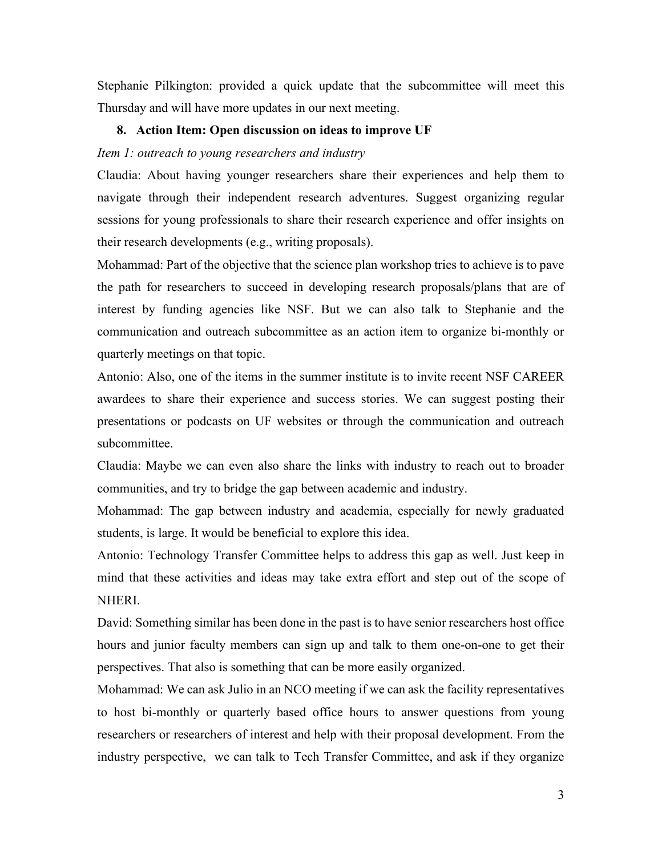Stephanie Pilkington: provided a quick update that the subcommittee will meet this Thursday and will have more updates in our next meeting.

#### **8. Action Item: Open discussion on ideas to improve UF**

# *Item 1: outreach to young researchers and industry*

Claudia: About having younger researchers share their experiences and help them to navigate through their independent research adventures. Suggest organizing regular sessions for young professionals to share their research experience and offer insights on their research developments (e.g., writing proposals).

Mohammad: Part of the objective that the science plan workshop tries to achieve is to pave the path for researchers to succeed in developing research proposals/plans that are of interest by funding agencies like NSF. But we can also talk to Stephanie and the communication and outreach subcommittee as an action item to organize bi-monthly or quarterly meetings on that topic.

Antonio: Also, one of the items in the summer institute is to invite recent NSF CAREER awardees to share their experience and success stories. We can suggest posting their presentations or podcasts on UF websites or through the communication and outreach subcommittee.

Claudia: Maybe we can even also share the links with industry to reach out to broader communities, and try to bridge the gap between academic and industry.

Mohammad: The gap between industry and academia, especially for newly graduated students, is large. It would be beneficial to explore this idea.

Antonio: Technology Transfer Committee helps to address this gap as well. Just keep in mind that these activities and ideas may take extra effort and step out of the scope of NHERI.

David: Something similar has been done in the past is to have senior researchers host office hours and junior faculty members can sign up and talk to them one-on-one to get their perspectives. That also is something that can be more easily organized.

Mohammad: We can ask Julio in an NCO meeting if we can ask the facility representatives to host bi-monthly or quarterly based office hours to answer questions from young researchers or researchers of interest and help with their proposal development. From the industry perspective, we can talk to Tech Transfer Committee, and ask if they organize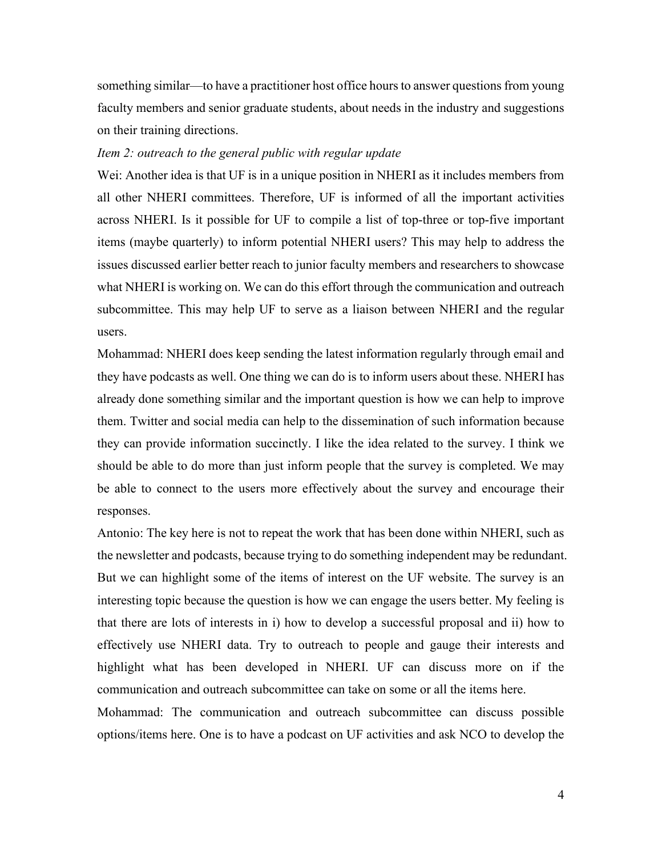something similar—to have a practitioner host office hours to answer questions from young faculty members and senior graduate students, about needs in the industry and suggestions on their training directions.

# *Item 2: outreach to the general public with regular update*

Wei: Another idea is that UF is in a unique position in NHERI as it includes members from all other NHERI committees. Therefore, UF is informed of all the important activities across NHERI. Is it possible for UF to compile a list of top-three or top-five important items (maybe quarterly) to inform potential NHERI users? This may help to address the issues discussed earlier better reach to junior faculty members and researchers to showcase what NHERI is working on. We can do this effort through the communication and outreach subcommittee. This may help UF to serve as a liaison between NHERI and the regular users.

Mohammad: NHERI does keep sending the latest information regularly through email and they have podcasts as well. One thing we can do is to inform users about these. NHERI has already done something similar and the important question is how we can help to improve them. Twitter and social media can help to the dissemination of such information because they can provide information succinctly. I like the idea related to the survey. I think we should be able to do more than just inform people that the survey is completed. We may be able to connect to the users more effectively about the survey and encourage their responses.

Antonio: The key here is not to repeat the work that has been done within NHERI, such as the newsletter and podcasts, because trying to do something independent may be redundant. But we can highlight some of the items of interest on the UF website. The survey is an interesting topic because the question is how we can engage the users better. My feeling is that there are lots of interests in i) how to develop a successful proposal and ii) how to effectively use NHERI data. Try to outreach to people and gauge their interests and highlight what has been developed in NHERI. UF can discuss more on if the communication and outreach subcommittee can take on some or all the items here.

Mohammad: The communication and outreach subcommittee can discuss possible options/items here. One is to have a podcast on UF activities and ask NCO to develop the